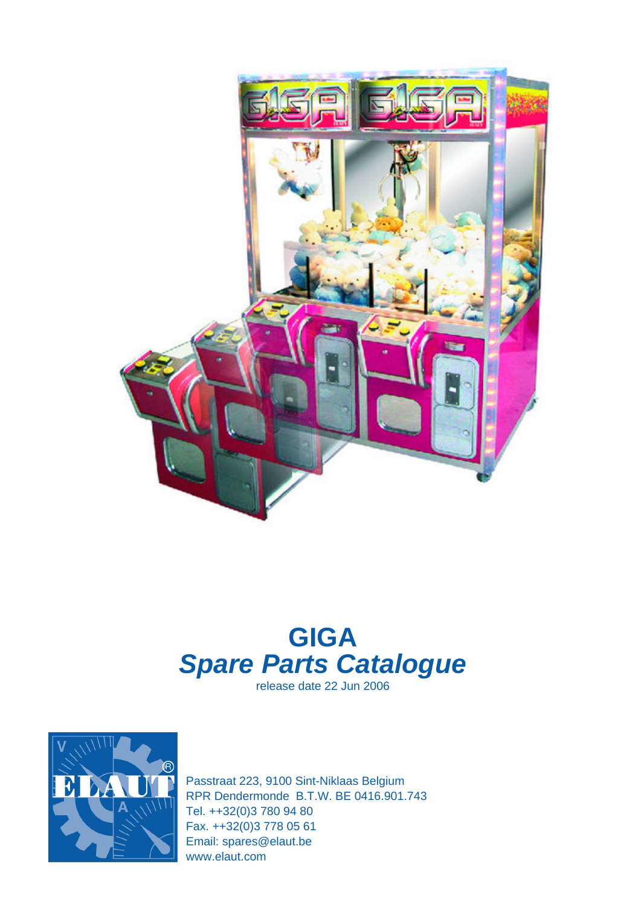

# **GIGA Spare Parts Catalogue**

release date 22 Jun 2006



Passtraat 223, 9100 Sint-Niklaas Belgium RPR Dendermonde B.T.W. BE 0416.901.743 Tel. ++32(0)3 780 94 80 Fax. ++32(0)3 778 05 61 Email: spares@elaut.be www.elaut.com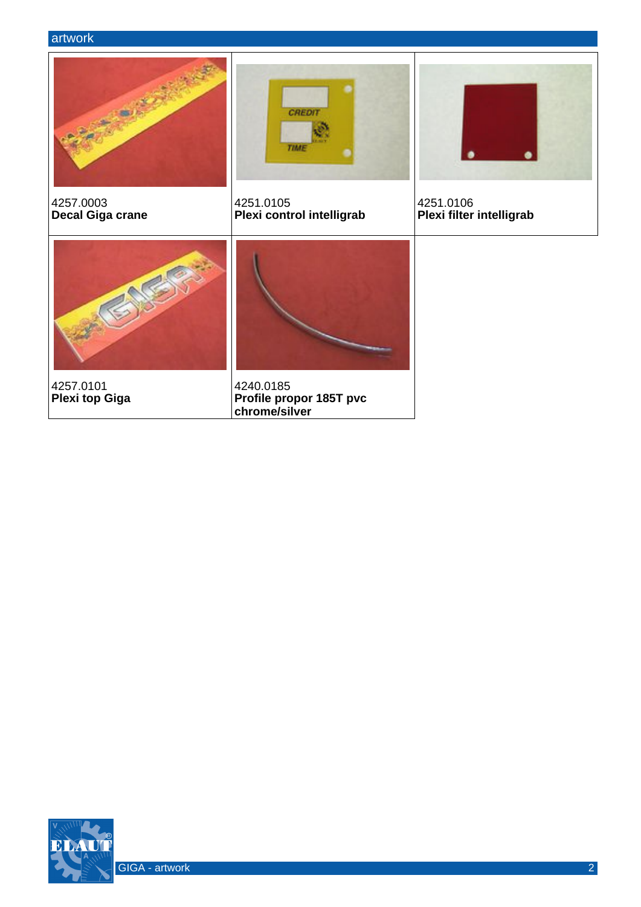

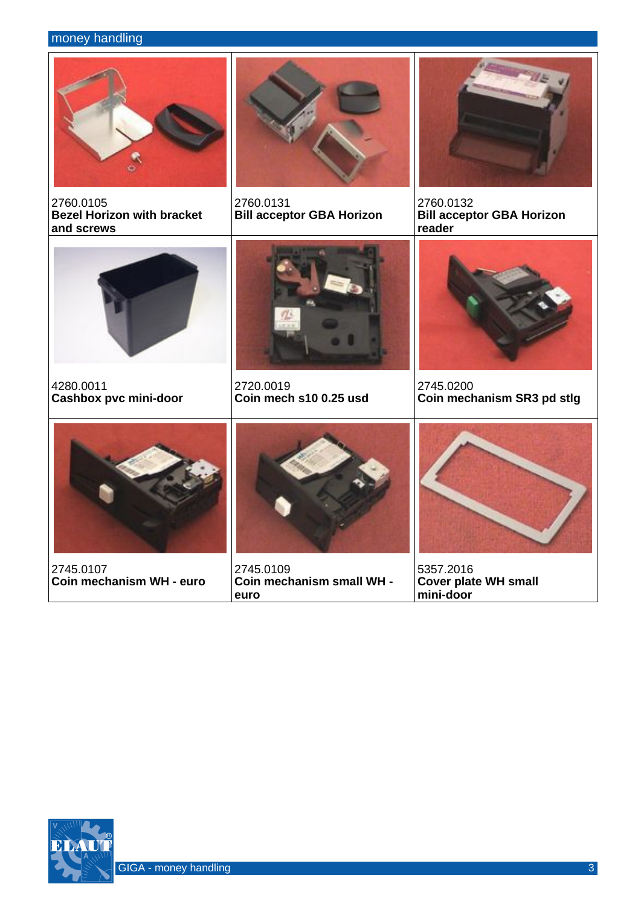## money handling



2760.0105 **Bezel Horizon with bracket and screws**



2760.0131 **Bill acceptor GBA Horizon**



2760.0132 **Bill acceptor GBA Horizon reader**



4280.0011 **Cashbox pvc mini-door**



2720.0019 **Coin mech s10 0.25 usd**



2745.0200 **Coin mechanism SR3 pd stlg**



2745.0107 **Coin mechanism WH - euro**



2745.0109 **Coin mechanism small WH euro**



5357.2016 **Cover plate WH small mini-door**

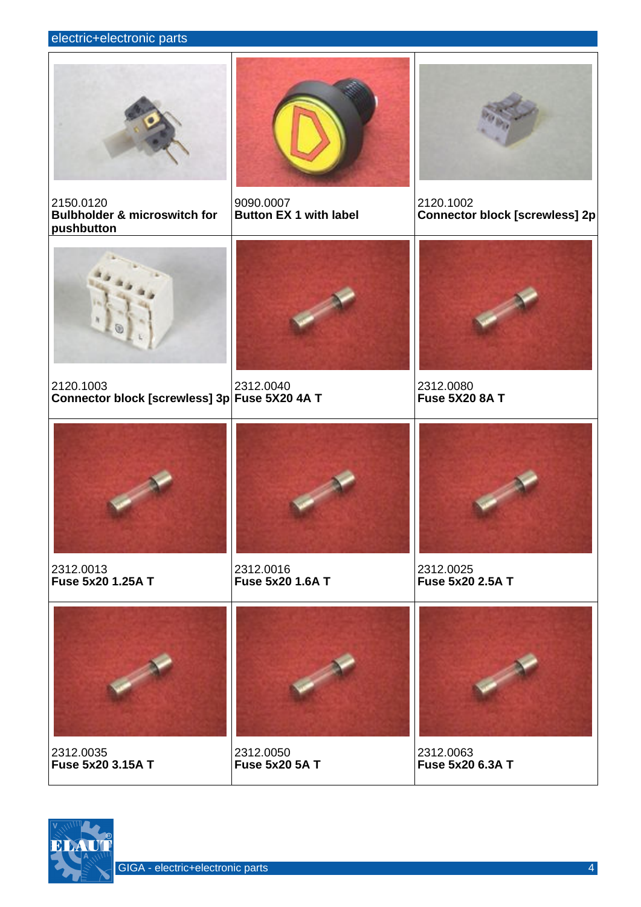#### electric+electronic parts







2120.1002 **Connector block [screwless] 2p**



2150.0120

2120.1003 **Connector block [screwless] 3p Fuse 5X20 4A T**



2312.0040

9090.0007

**Button EX 1 with label**



2312.0080 **Fuse 5X20 8A T**



2312.0013 **Fuse 5x20 1.25A T**



2312.0016 **Fuse 5x20 1.6A T**



2312.0025 **Fuse 5x20 2.5A T**



2312.0035 **Fuse 5x20 3.15A T**



2312.0050 **Fuse 5x20 5A T**



2312.0063 **Fuse 5x20 6.3A T**

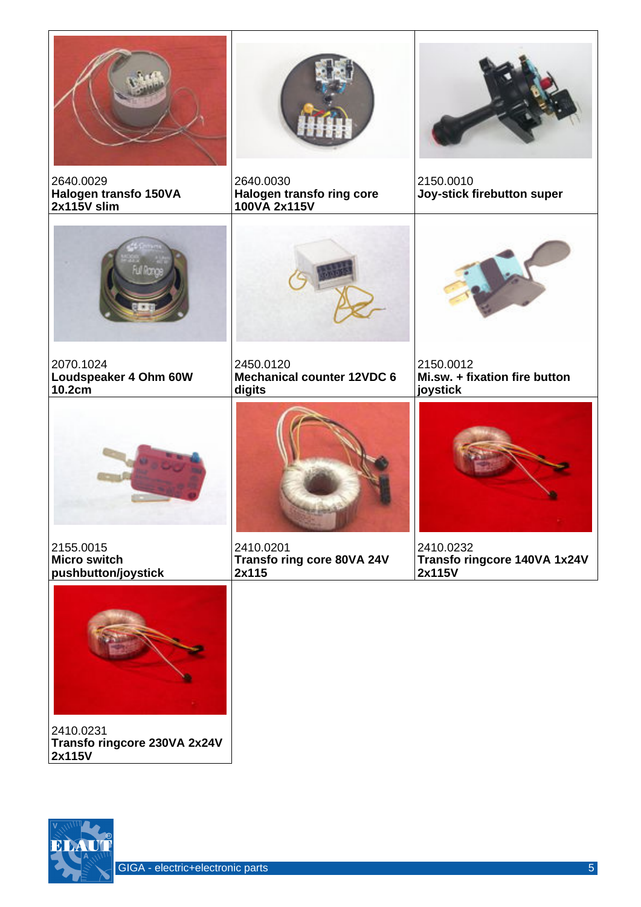

2410.0231 **Transfo ringcore 230VA 2x24V 2x115V**

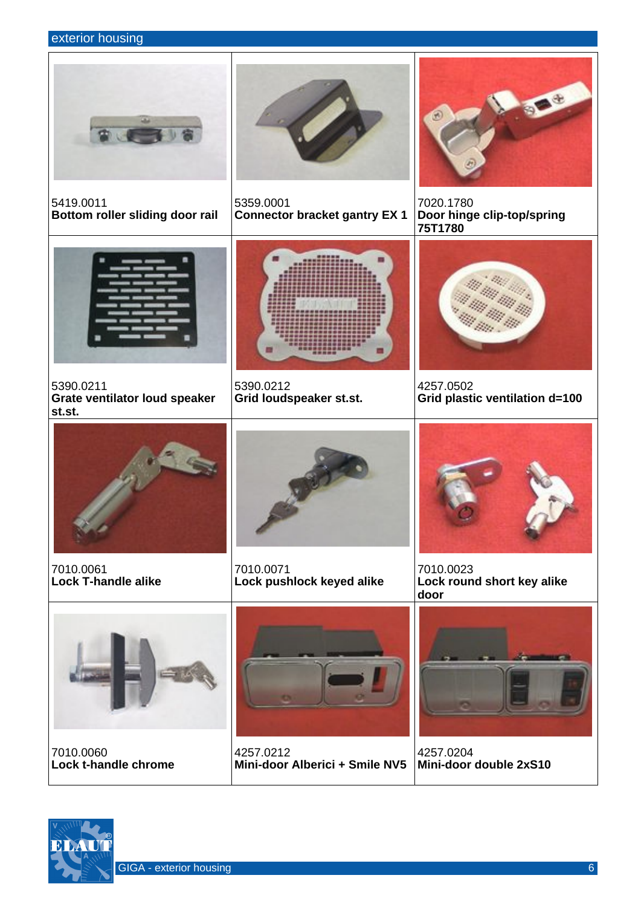### exterior housing

5419.0011





5359.0001 **Connector bracket gantry EX 1**



7020.1780 **Door hinge clip-top/spring 75T1780**



**Bottom roller sliding door rail**

5390.0211 **Grate ventilator loud speaker st.st.**



5390.0212 **Grid loudspeaker st.st.**



4257.0502 **Grid plastic ventilation d=100**



7010.0061 **Lock T-handle alike**



7010.0071 **Lock pushlock keyed alike**



7010.0023 **Lock round short key alike door**



7010.0060 **Lock t-handle chrome**



4257.0212 **Mini-door Alberici + Smile NV5**



4257.0204 **Mini-door double 2xS10**



GIGA - exterior housing 6 and 10 million control of the control of the control of the control of the control of the control of the control of the control of the control of the control of the control of the control of the c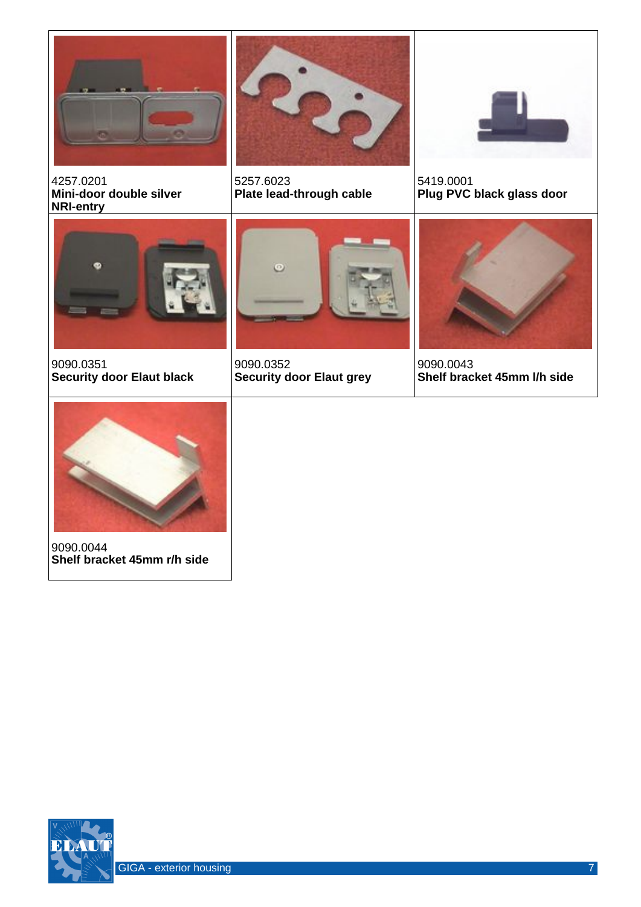

4257.0201 **Mini-door double silver NRI-entry**



5257.6023 **Plate lead-through cable**



5419.0001 **Plug PVC black glass door**



9090.0351 **Security door Elaut black**



9090.0352 **Security door Elaut grey**



9090.0043 **Shelf bracket 45mm l/h side**



9090.0044 **Shelf bracket 45mm r/h side**

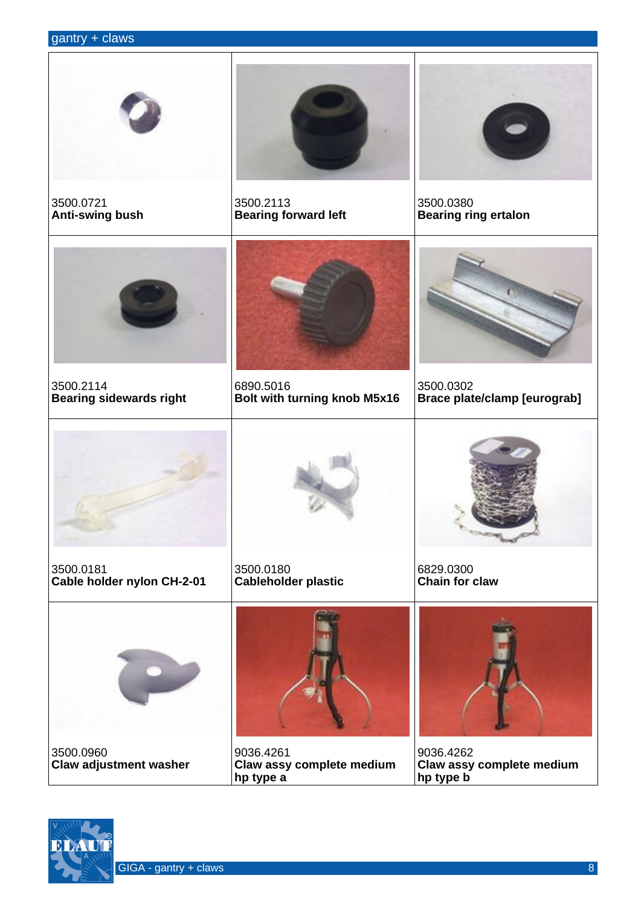## gantry + claws

| 3500.0721<br>Anti-swing bush                | 3500.2113<br><b>Bearing forward left</b>            | 3500.0380<br><b>Bearing ring ertalon</b>            |
|---------------------------------------------|-----------------------------------------------------|-----------------------------------------------------|
|                                             |                                                     |                                                     |
|                                             |                                                     |                                                     |
| 3500.2114<br><b>Bearing sidewards right</b> | 6890.5016<br>Bolt with turning knob M5x16           | 3500.0302<br><b>Brace plate/clamp [eurograb]</b>    |
|                                             |                                                     |                                                     |
| 3500.0181<br>Cable holder nylon CH-2-01     | 3500.0180<br><b>Cableholder plastic</b>             | 6829.0300<br><b>Chain for claw</b>                  |
|                                             |                                                     |                                                     |
| 3500.0960<br><b>Claw adjustment washer</b>  | 9036.4261<br>Claw assy complete medium<br>hp type a | 9036.4262<br>Claw assy complete medium<br>hp type b |

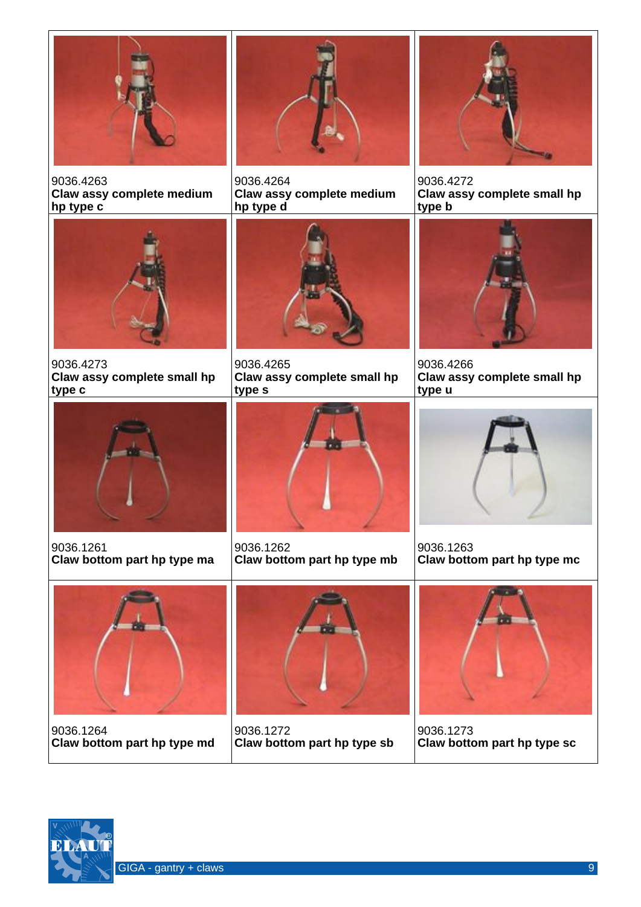

9036.4263 **Claw assy complete medium hp type c**



9036.4264 **Claw assy complete medium hp type d**



9036.4272 **Claw assy complete small hp type b**



9036.4273 **Claw assy complete small hp type c**



9036.4265 **Claw assy complete small hp type s**



9036.4266 **Claw assy complete small hp type u**



9036.1261 **Claw bottom part hp type ma**



9036.1262 **Claw bottom part hp type mb**



9036.1263 **Claw bottom part hp type mc**



9036.1264 **Claw bottom part hp type md**



9036.1272 **Claw bottom part hp type sb**



9036.1273 **Claw bottom part hp type sc**

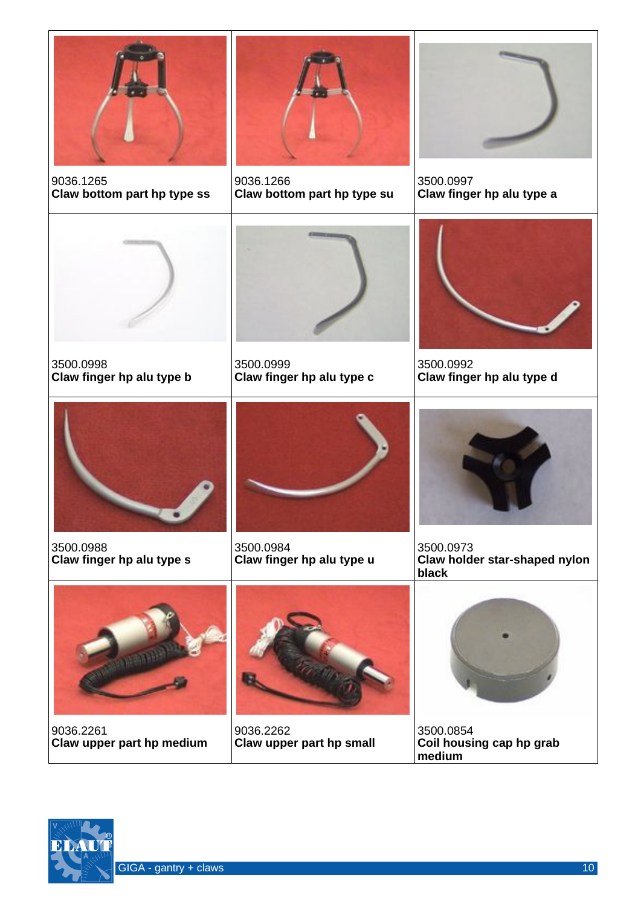

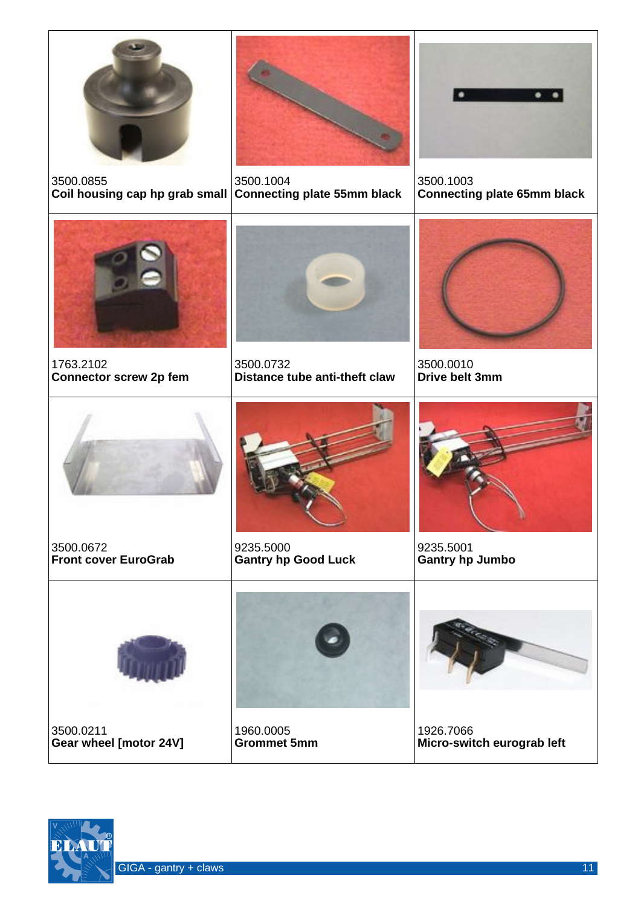

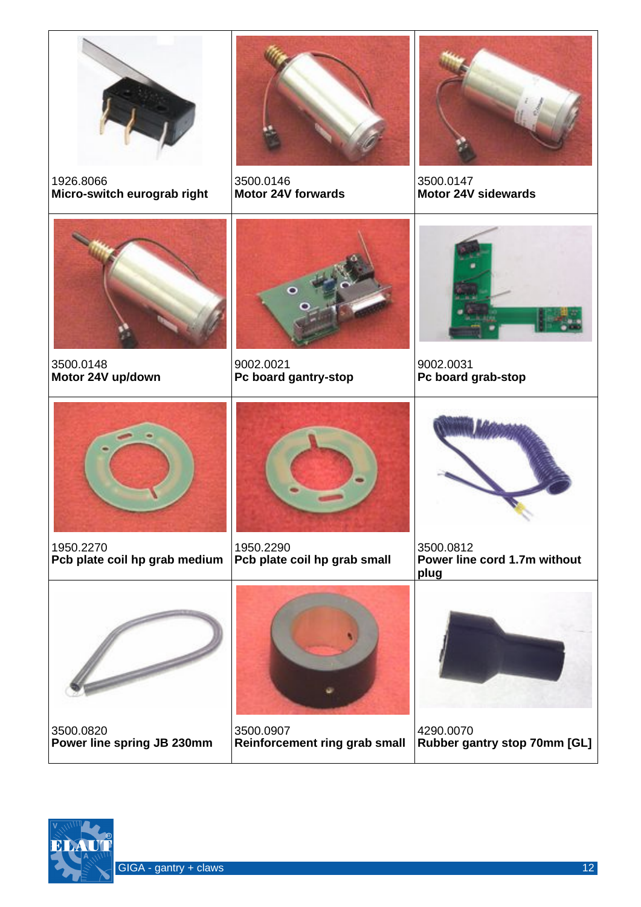

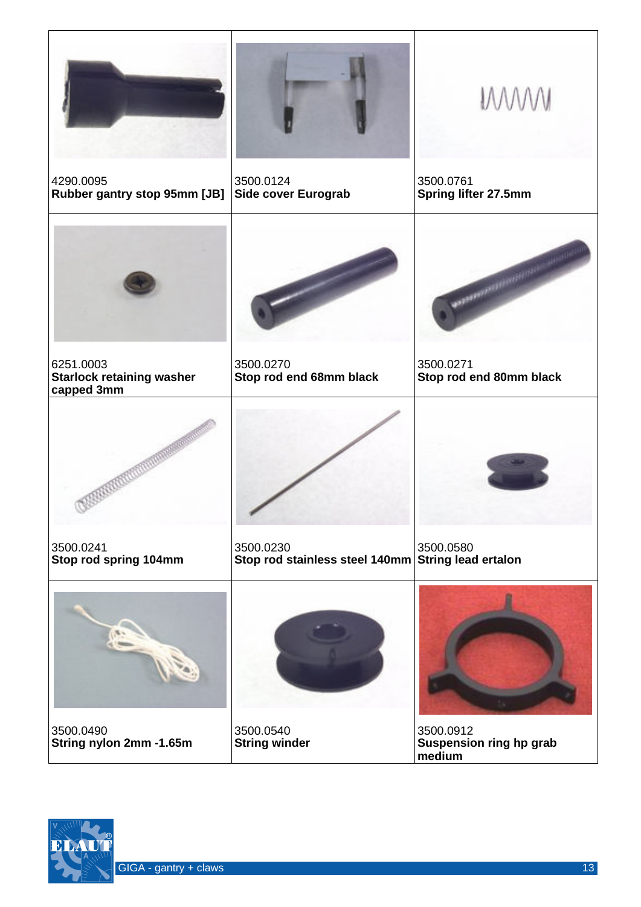|                                                             |                                             | <b>MWW</b>                                     |
|-------------------------------------------------------------|---------------------------------------------|------------------------------------------------|
| 4290.0095<br>Rubber gantry stop 95mm [JB]                   | 3500.0124<br>Side cover Eurograb            | 3500.0761<br>Spring lifter 27.5mm              |
|                                                             |                                             | <b>LE SERVICE DE L'ANGERIE</b>                 |
| 6251.0003<br><b>Starlock retaining washer</b><br>capped 3mm | 3500.0270<br>Stop rod end 68mm black        | 3500.0271<br>Stop rod end 80mm black           |
|                                                             |                                             |                                                |
| 3500.0241<br>Stop rod spring 104mm                          | 3500.0230<br>Stop rod stainless steel 140mm | 3500.0580<br><b>String lead ertalon</b>        |
|                                                             |                                             |                                                |
| 3500.0490<br>String nylon 2mm -1.65m                        | 3500.0540<br><b>String winder</b>           | 3500.0912<br>Suspension ring hp grab<br>medium |

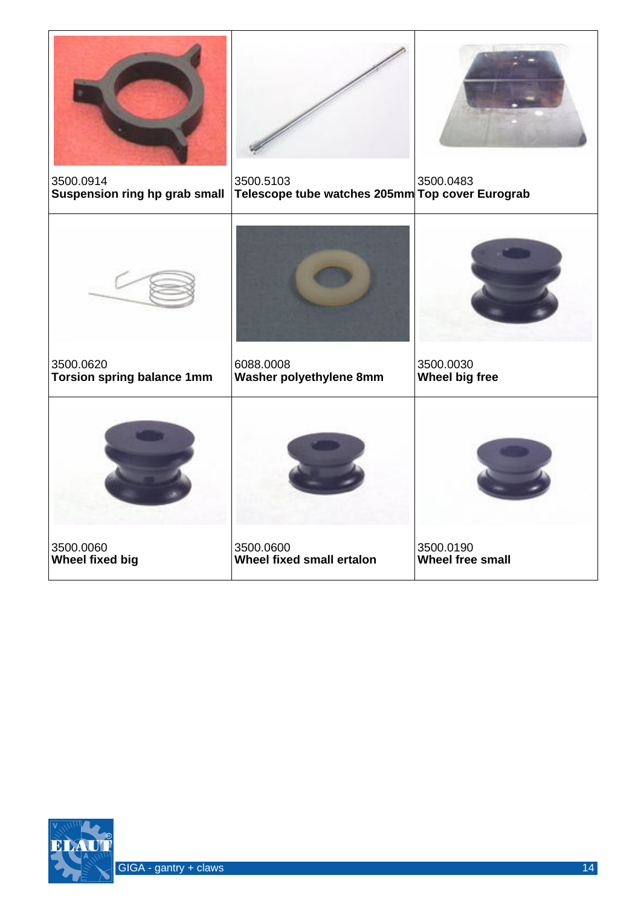

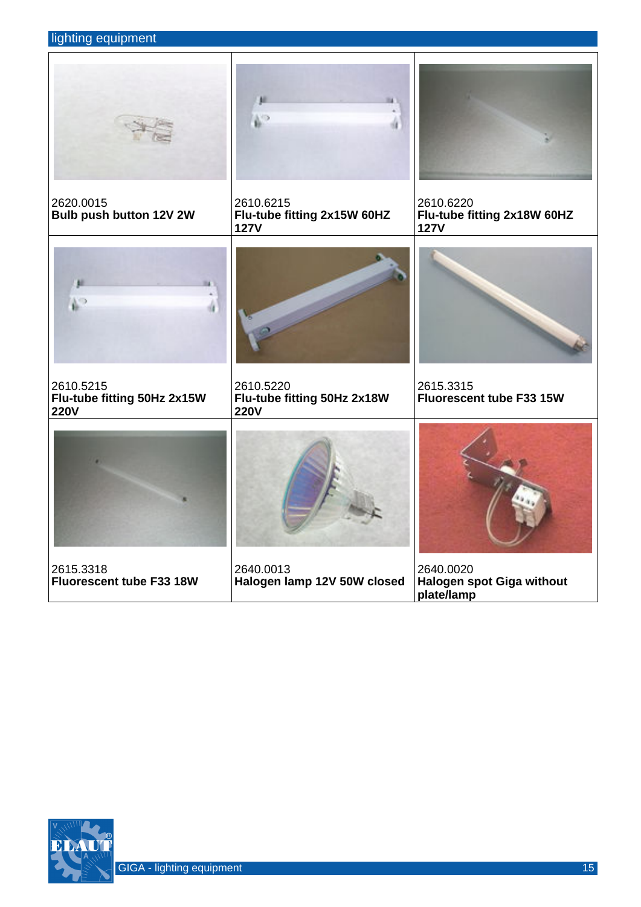## lighting equipment

|                                                         | ψ,                                                      |                                                         |
|---------------------------------------------------------|---------------------------------------------------------|---------------------------------------------------------|
| 2620.0015<br>Bulb push button 12V 2W                    | 2610.6215<br>Flu-tube fitting 2x15W 60HZ<br><b>127V</b> | 2610.6220<br>Flu-tube fitting 2x18W 60HZ<br><b>127V</b> |
| 翅<br>V.                                                 |                                                         |                                                         |
| 2610.5215<br>Flu-tube fitting 50Hz 2x15W<br><b>220V</b> | 2610.5220<br>Flu-tube fitting 50Hz 2x18W<br><b>220V</b> | 2615.3315<br><b>Fluorescent tube F33 15W</b>            |
|                                                         |                                                         |                                                         |
| 2615.3318<br>Fluorescent tube F33 18W                   | 2640.0013<br>Halogen lamp 12V 50W closed                | 2640.0020<br>Halogen spot Giga without<br>plate/lamp    |

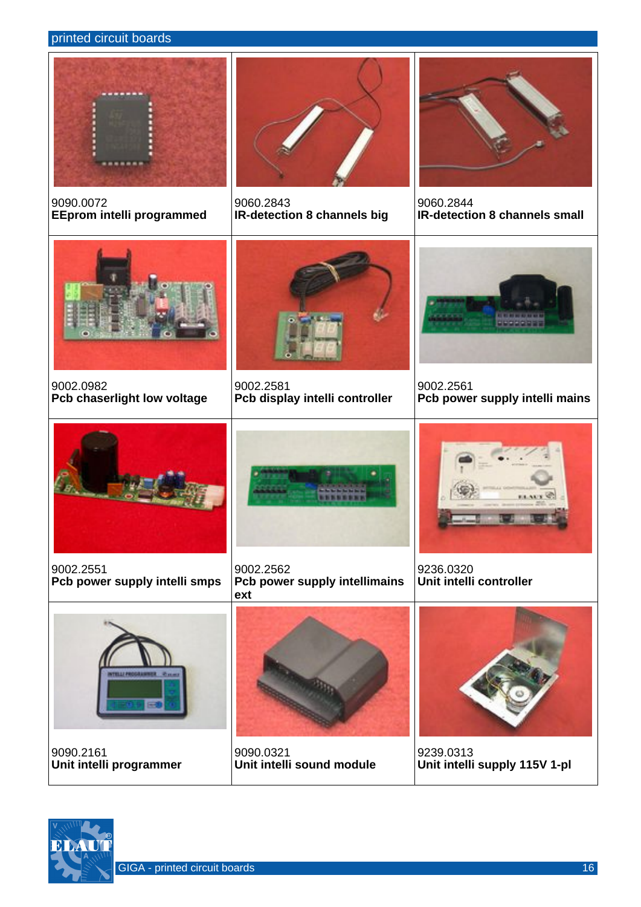#### printed circuit boards



9090.0072 **EEprom intelli programmed**



9060.2843 **IR-detection 8 channels big**



9060.2844 **IR-detection 8 channels small**



9002.0982 **Pcb chaserlight low voltage**



9002.2581 **Pcb display intelli controller**



9002.2561 **Pcb power supply intelli mains**



9002.2551 **Pcb power supply intelli smps**



9002.2562 **Pcb power supply intellimains ext**



9236.0320 **Unit intelli controller**



9090.2161 **Unit intelli programmer**



9090.0321 **Unit intelli sound module**



9239.0313 **Unit intelli supply 115V 1-pl**



GIGA - printed circuit boards 16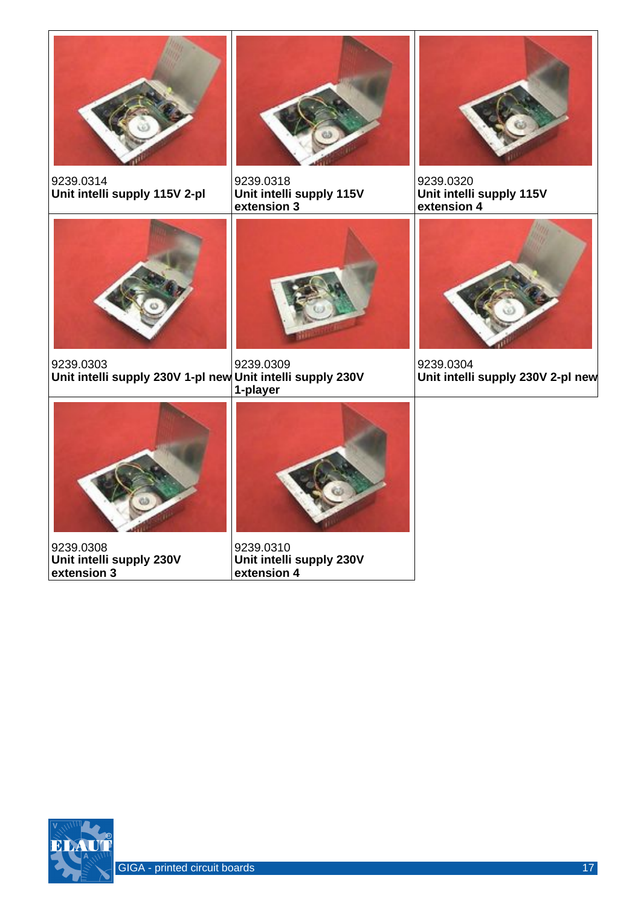

9239.0314 **Unit intelli supply 115V 2-pl**



9239.0318 **Unit intelli supply 115V extension 3**



9239.0320 **Unit intelli supply 115V extension 4**



9239.0303 **Unit intelli supply 230V 1-pl new Unit intelli supply 230V** 



9239.0309 **1-player**



9239.0304 **Unit intelli supply 230V 2-pl new**



9239.0308 **Unit intelli supply 230V extension 3**



9239.0310 **Unit intelli supply 230V extension 4**

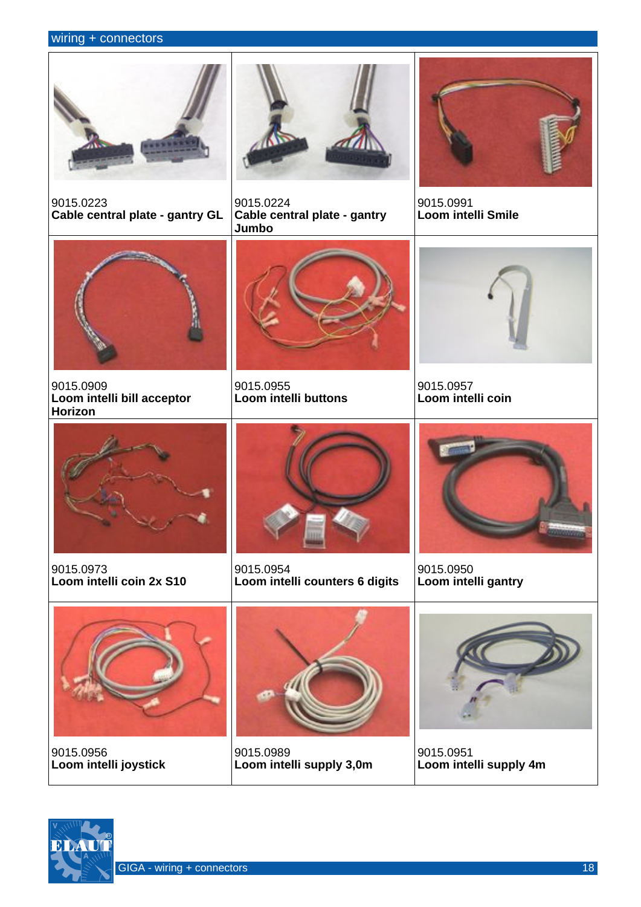#### wiring + connectors



9015.0223 **Cable central plate - gantry GL**



9015.0224 **Cable central plate - gantry Jumbo**



9015.0991 **Loom intelli Smile**



9015.0909 **Loom intelli bill acceptor Horizon**



9015.0955 **Loom intelli buttons**



9015.0957 **Loom intelli coin**



9015.0973 **Loom intelli coin 2x S10**



9015.0954 **Loom intelli counters 6 digits**



9015.0950 **Loom intelli gantry**



9015.0956 **Loom intelli joystick**



9015.0989 **Loom intelli supply 3,0m**



9015.0951 **Loom intelli supply 4m**